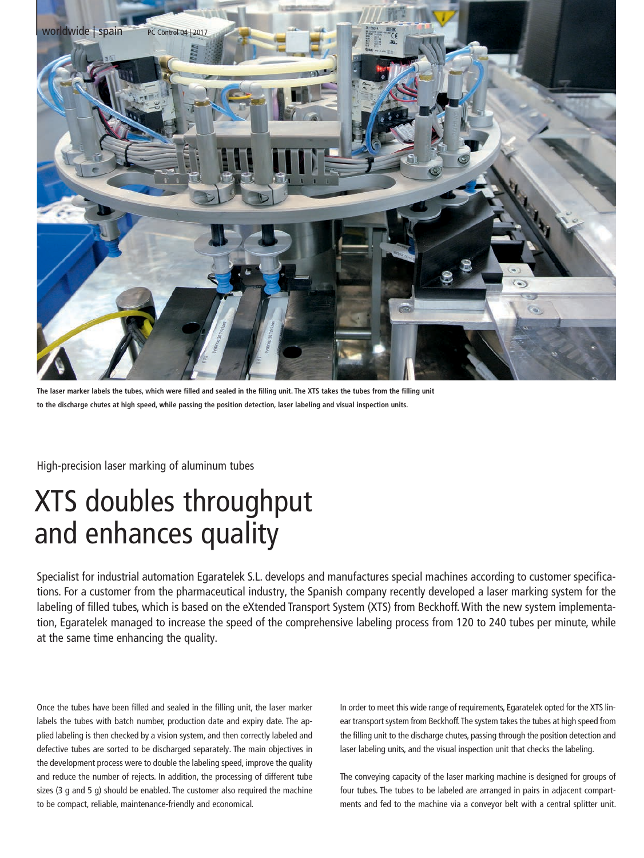

**The laser marker labels the tubes, which were filled and sealed in the filling unit. The XTS takes the tubes from the filling unit to the discharge chutes at high speed, while passing the position detection, laser labeling and visual inspection units.**

High-precision laser marking of aluminum tubes

## XTS doubles throughput and enhances quality

Specialist for industrial automation Egaratelek S.L. develops and manufactures special machines according to customer specifications. For a customer from the pharmaceutical industry, the Spanish company recently developed a laser marking system for the labeling of filled tubes, which is based on the eXtended Transport System (XTS) from Beckhoff. With the new system implementation, Egaratelek managed to increase the speed of the comprehensive labeling process from 120 to 240 tubes per minute, while at the same time enhancing the quality.

Once the tubes have been filled and sealed in the filling unit, the laser marker labels the tubes with batch number, production date and expiry date. The applied labeling is then checked by a vision system, and then correctly labeled and defective tubes are sorted to be discharged separately. The main objectives in the development process were to double the labeling speed, improve the quality and reduce the number of rejects. In addition, the processing of different tube sizes (3 g and 5 g) should be enabled. The customer also required the machine to be compact, reliable, maintenance-friendly and economical.

In order to meet this wide range of requirements, Egaratelek opted for the XTS linear transport system from Beckhoff. The system takes the tubes at high speed from the filling unit to the discharge chutes, passing through the position detection and laser labeling units, and the visual inspection unit that checks the labeling.

The conveying capacity of the laser marking machine is designed for groups of four tubes. The tubes to be labeled are arranged in pairs in adjacent compartments and fed to the machine via a conveyor belt with a central splitter unit.